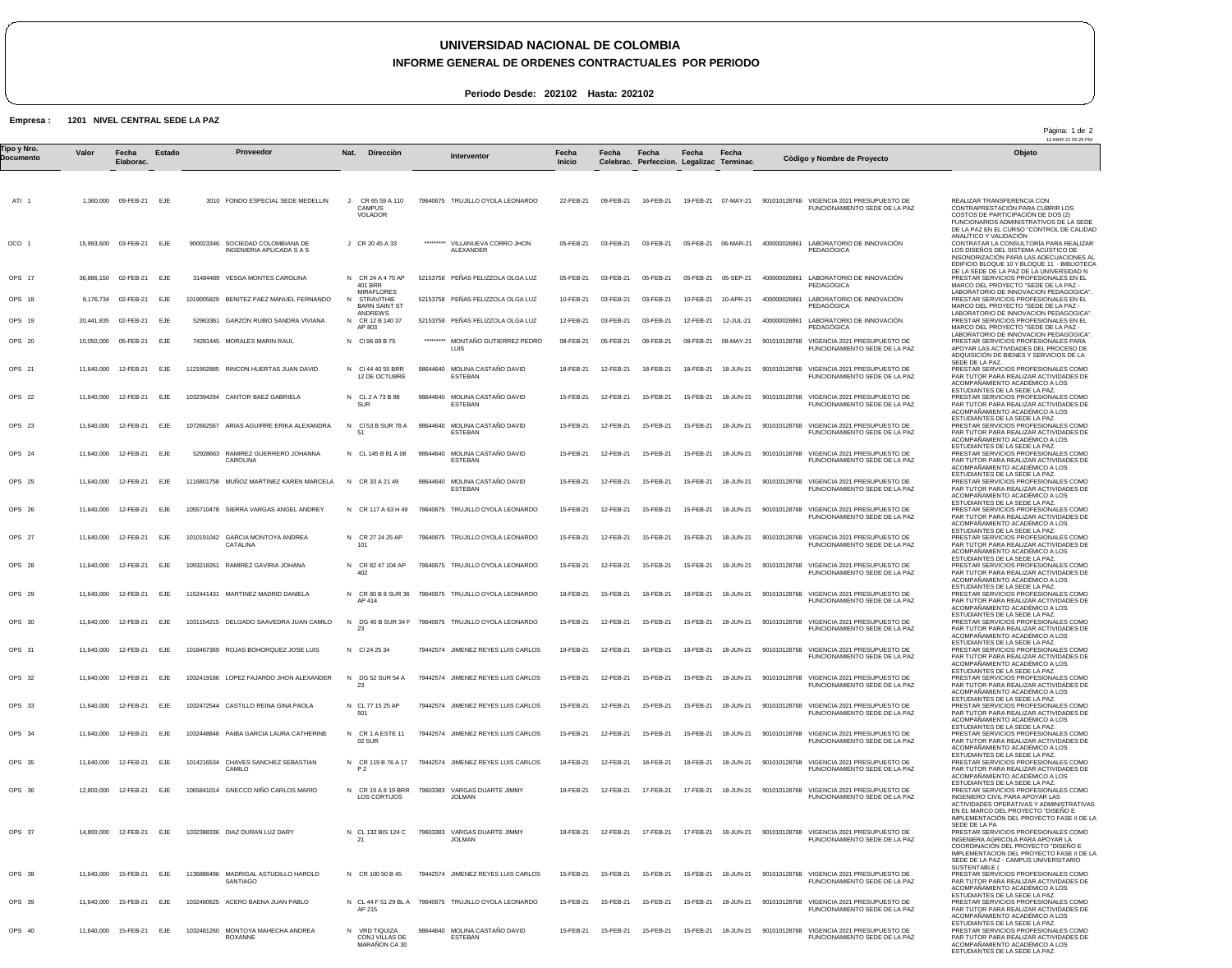## **UNIVERSIDAD NACIONAL DE COLOMBIA**

**INFORME GENERAL DE ORDENES CONTRACTUALES POR PERIODO**

**Periodo Desde: 202102 Hasta: 202102**

## **Empresa : 1201 NIVEL CENTRAL SEDE LA PAZ**

ATI 1 OCO 1 OPS 17 OPS 18 OPS 19 OPS 20 OPS 21 OPS 22 OPS 23 OPS 24 OPS 25 OPS 26 OPS 27 OPS 28 OPS 29 OPS 30 OPS 31 OPS 32 OPS 33 OPS 34 OPS 35 OPS 36 OPS 37 OPS 38 OPS 39 OPS 40 1,360,000 15,993,600 36,886,150 02-FEB-21 8,176,734 20,441,835 10,050,000 11,640,000 11,640,000 11,640,000 11,640,000 11,640,000 11,640,000 11,640,000 11,640,000 11,640,000 11,640,000 11,640,000 12-FEB-21 11,640,000 11,640,000 11,640,000 11,640,000 12,800,000 14,800,000 11,640,000 11,640,000 11,640,000 15-FEB-21 EJE **Valor** 09-FEB-21 EJE 03-FEB-21 02-FEB-21 02-FEB-21 05-FEB-21 12-FEB-21 12-FEB-21 12-FEB-21 12-FEB-21 12-FEB-21 12-FEB-21 12-FEB-21 12-FEB-21 12-FEB-21 12-FEB-21 12-FEB-21 12-FEB-21 12-FEB-21 12-FEB-21 12-FEB-21 12-FEB-21 15-FEB-21 15-FEB-21 **Fecha Elaborac.** EJE EJE EJE EJE EJE EJE EJE EJE EJE EJE EJE EJE EJE EJE EJE EJE EJE EJE EJE EJE EJE EJE EJE EJE **Estado** 3010 FONDO ESPECIAL SEDE MEDELLIN 900023346 SOCIEDAD COLOMBIANA DE 31484489 VESGA MONTES CAROLINA 1019005829 BENITEZ PAEZ MANUEL FERNANDO 52963361 GARZON RUBIO SANDRA VIVIANA 74281445 MORALES MARIN RAUL 1121902885 RINCON HUERTAS JUAN DAVID 1032394294 CANTOR BAEZ GABRIELA 1072662567 ARIAS AGUIRRE ERIKA ALEXANDRA 52928663 RAMIREZ GUERRERO JOHANNA 1116801758 MUÑOZ MARTINEZ KAREN MARCELA 1055710478 SIERRA VARGAS ANGEL ANDREY 1010191042 GARCIA MONTOYA ANDREA 1093218261 RAMIREZ GAVIRIA JOHANA 1152441431 MARTINEZ MADRID DANIELA 1031154215 DELGADO SAAVEDRA JUAN CAMILO 1018467369 ROJAS BOHORQUEZ JOSE LUIS 1032419186 LOPEZ FAJARDO JHON ALEXANDER 1032472544 CASTILLO REINA GINA PAOLA 1032448848 PAIBA GARCIA LAURA CATHERINE 1014216534 CHAVES SANCHEZ SEBASTIAN 1065841014 GNECCO NIÑO CARLOS MARIO 1032388336 DIAZ DURAN LUZ DARY 1136886496 MADRIGAL ASTUDILLO HAROLD SANTIAGO 1032480625 ACERO BAENA JUAN PABLO 1032481260 MONTOYA MAHECHA ANDREA INGENIERIA APLICADA S A S CAROLINA **CATALINA** CAMILO ROXANNE J J CR 20 45 A 33 N CR 24 A 4 75 AP N N ANDREWS CR 12 B 140 37 N Cl 96 69 B 75 N Cl 44 40 55 BRR N CL 2 A 73 B 88 N N CL 145 B 81 A 08 N CR 33 A 21 49 N CR 117 A 63 H 49 N CR 27 24 25 AP N CR 82 47 104 AP N CR 80 B 8 SUR 36 AP 414 N DG 40 B SUR 34 F 79640675 TRUJILLO OYOLA LEONARDO N Cl 24 25 34 N DG 52 SUR 54 A N CL 77 15 25 AP N CR 1 A ESTE 11 N CR 119 B 76 A 17 N CR 19 A 8 19 BRR N CL 132 BIS 124 C N CR 100 50 B 45 N CL 44 F 51 29 BL A 79640675 TRUJILLO OYOLA LEONARDO N VRD TIQUIZA **Nat. Direcciòn** CR 65 59 A 110 **CAMPUS** VOLADOR 401 BRR MIRAFLORES STRAVITHIE BARN SAINT ST AP 803 12 DE OCTUBRE **SUR**  Cl 53 B SUR 78 A 51 101 402 23 23 501 02 SUR P 2 LOS CORTIJOS 21 AP 215 79640675 TRUJILLO OYOLA LEONARDO \*\*\*\*\*\*\*\*\* 52153758 PEÑAS FELIZZOLA OLGA LUZ 52153758 PEÑAS FELIZZOLA OLGA LUZ 52153758 PEÑAS FELIZZOLA OLGA LUZ \*\*\*\*\*\*\*\*\* MONTAÑO GUTIERREZ PEDRO 98644640 MOLINA CASTAÑO DAVID 98644640 MOLINA CASTAÑO DAVID 98644640 MOLINA CASTAÑO DAVID 98644640 MOLINA CASTAÑO DAVID 98644640 MOLINA CASTAÑO DAVID 79640675 TRUJILLO OYOLA LEONARDO 79640675 TRUJILLO OYOLA LEONARDO 79640675 TRUJILLO OYOLA LEONARDO 79640675 TRUJILLO OYOLA LEONARDO 79442574 JIMENEZ REYES LUIS CARLOS 79442574 JIMENEZ REYES LUIS CARLOS 79442574 JIMENEZ REYES LUIS CARLOS 79442574 JIMENEZ REYES LUIS CARLOS 79442574 JIMENEZ REYES LUIS CARLOS 79603383 VARGAS DUARTE JIMMY 79603383 VARGAS DUARTE JIMMY JOLMAN 79442574 JIMENEZ REYES LUIS CARLOS 98644640 MOLINA CASTAÑO DAVID VILLANUEVA CORRO JHON ALEXANDER LUIS **ESTERAN** ESTEBAN ESTEBAN **ESTERAN ESTEBAN** JOLMAN ESTEBAN 22-FEB-21 05-FEB-21 05-FEB-21 10-FEB-21 12-FEB-21 08-FEB-21 18-FEB-21 15-FEB-21 15-FEB-21 15-FEB-21 15-FEB-21 15-FEB-21 15-FEB-21 15-FEB-21 18-FEB-21 15-FEB-21 19-FEB-21 15-FEB-21 15-FEB-21 15-FEB-21 18-FEB-21 18-FEB-21 18-FEB-21 15-FEB-21 15-FEB-21 15-FEB-21 **Fecha Inicio** 09-FEB-21 03-FEB-21 03-FEB-21 03-FEB-21 03-FEB-21 05-FEB-21 12-FEB-21 12-FEB-21 12-FEB-21 12-FEB-21 12-FEB-21 12-FEB-21 12-FEB-21 12-FEB-21 15-FEB-21 12-FEB-21 12-FEB-21 12-FEB-21 12-FEB-21 12-FEB-21 12-FEB-21 12-FEB-21 12-FEB-21 15-FEB-21 15-FEB-21 15-FEB-21 **Fecha Celebrac.** 16-FEB-21 03-FEB-21 05-FEB-21 03-FEB-21 03-FEB-21 08-FEB-21 18-FEB-21 15-FEB-21 15-FEB-21 15-FEB-21 15-FEB-21 15-FEB-21 15-FEB-21 15-FEB-21 18-FEB-21 15-FEB-21 18-FEB-21 15-FEB-21 15-FEB-21 15-FEB-21 18-FEB-21 17-FEB-21 17-FEB-21 15-FEB-21 15-FEB-21 15-FEB-21 **Fecha Perfeccion. Legalizac Terminac.** 19-FEB-21 07-MAY-21 901010128768 VIGENCIA 2021 PRESUPUESTO DE 05-FEB-21 06-MAR-21 05-FEB-21 05-SEP-21 10-FEB-21 10-APR-21 12-FEB-21 08-FEB-21 18-FEB-21 18-JUN-21 15-FEB-21 15-FEB-21 15-FEB-21 15-FEB-21 15-FEB-21 15-FEB-21 18-JUN-21 15-FEB-21 18-FEB-21 15-FEB-21 18-FEB-21 18-JUN-21 15-FEB-21 15-FEB-21 15-FEB-21 18-FEB-21 17-FEB-21 17-FEB-21 18-JUN-21 15-FEB-21 15-FEB-21 15-FEB-21 18-JUN-21 901010128768 VIGENCIA 2021 PRESUPUESTO DE **Fecha** 12-JUL-21 08-MAY-21 18-JUN-21 18-JUN-21 18-JUN-21 18-JUN-21 18-JUN-21 18-JUN-21 18-JUN-21 18-JUN-21 18-JUN-21 18-JUN-21 18-JUN-21 18-JUN-21 18-JUN-21 18-JUN-21 18-JUN-21 **Fecha** 400000026861 LABORATORIO DE INNOVACIÓN 400000026861 LABORATORIO DE INNOVACIÓN 400000026861 400000026861 901010128768 VIGENCIA 2021 PRESUPUESTO DE 901010128768 VIGENCIA 2021 PRESUPUESTO DE FUNCIONAMIENTO SEDE DE LA PAZ 901010128768 VIGENCIA 2021 PRESUPUESTO DE 901010128768 901010128768 VIGENCIA 2021 PRESUPUESTO DE FUNCIONAMIENTO SEDE DE LA PAZ 901010128768 VIGENCIA 2021 PRESUPUESTO DE 901010128768 VIGENCIA 2021 PRESUPUESTO DE FUNCIONAMIENTO SEDE DE LA PAZ 901010128768 VIGENCIA 2021 PRESUPUESTO DE 901010128768 VIGENCIA 2021 PRESUPUESTO DE 901010128768 VIGENCIA 2021 PRESUPUESTO DE FUNCIONAMIENTO SEDE DE LA PAZ 901010128768 VIGENCIA 2021 PRESUPUESTO DE 901010128768 VIGENCIA 2021 PRESUPUESTO DE 901010128768 VIGENCIA 2021 PRESUPUESTO DE FUNCIONAMIENTO SEDE DE LA PAZ 901010128768 VIGENCIA 2021 PRESUPUESTO DE FUNCIONAMIENTO SEDE DE LA PAZ 901010128768 VIGENCIA 2021 PRESUPUESTO DE 901010128768 VIGENCIA 2021 PRESUPUESTO DE 901010128768 VIGENCIA 2021 PRESUPUESTO DE 901010128768 VIGENCIA 2021 PRESUPUESTO DE FUNCIONAMIENTO SEDE DE LA PAZ 901010128768 VIGENCIA 2021 PRESUPUESTO DE FUNCIONAMIENTO SEDE DE LA PAZ 901010128768 VIGENCIA 2021 PRESUPUESTO DE FUNCIONAMIENTO SEDE DE LA PAZ PEDAGÓGICA PEDAGÓGICA LABORATORIO DE INNOVACIÓN **PEDAGÓGICA** LABORATORIO DE INNOVACIÓN **PEDAGÓGICA** FUNCIONAMIENTO SEDE DE LA PAZ FUNCIONAMIENTO SEDE DE LA PAZ VIGENCIA 2021 PRESUPUESTO DE FUNCIONAMIENTO SEDE DE LA PAZ FUNCIONAMIENTO SEDE DE LA PAZ FUNCIONAMIENTO SEDE DE LA PAZ FUNCIONAMIENTO SEDE DE LA PAZ FUNCIONAMIENTO SEDE DE LA PAZ FUNCIONAMIENTO SEDE DE LA PAZ FUNCIONAMIENTO SEDE DE LA PAZ FUNCIONAMIENTO SEDE DE LA PAZ FUNCIONAMIENTO SEDE DE LA PAZ FUNCIONAMIENTO SEDE DE LA PAZ FUNCIONAMIENTO SEDE DE LA PAZ REALIZAR TRANSFERENCIA CON CONTRAPRESTACIÓN PARA CUBRIR LOS COSTOS DE PARTICIPACIÓN DE DOS (2) FUNCIONARIOS ADMINISTRATIVOS DE LA SEDE DE LA PAZ EN EL CURSO "CONTROL DE CALIDAD ANALÍTICO Y VALIDACIÓN CONTRATAR LA CONSULTORÍA PARA REALIZAR LOS DISEÑOS DEL SISTEMA ACÚSTICO DE INSONORIZACIÓN PARA LAS ADECUACIONES AL EDIFICIO BLOQUE 10 Y BLOQUE 11 - BIBLIOTECA<br>DE LA SEDE DE LA PAZ DE LA UNIVERSIDAD N<br>PRESTAR SERVICIOS PROFESIONALES EN EL<br>MARCO DEL PROYECTO "SEDE DE LA PAZ -LABORATORIO DE INNOVACION PEDAGOGICA". PRESTAR SERVICIOS PROFESIONALES EN EL MARCO DEL PROYECTO "SEDE DE LA PAZ - LABORATORIO DE INNOVACION PEDAGOGICA". PRESTAR SERVICIOS PROFESIONALES EN EL MARCO DEL PROYECTO "SEDE DE LA PAZ - LABORATORIO DE INNOVACION PEDAGOGICA". PRESTAR SERVICIOS PROFESIONALES PARA APOYAR LAS ACTIVIDADES DEL PROCESO DE ADQUISICIÓN DE BIENES Y SERVICIOS DE LA SEDE DE LA PAZ. PRESTAR SERVICIOS PROFESIONALES COMO PAR TUTOR PARA REALIZAR ACTIVIDADES DE ACOMPAÑAMIENTO ACADÉMICO A LOS ESTUDIANTES DE LA SEDE LA PAZ. PRESTAR SERVICIOS PROFESIONALES COMO PAR TUTOR PARA REALIZAR ACTIVIDADES DE ACOMPAÑAMIENTO ACADÉMICO A LOS ESTUDIANTES DE LA SEDE LA PAZ. PRESTAR SERVICIOS PROFESIONALES COMO PAR TUTOR PARA REALIZAR ACTIVIDADES DE ACOMPAÑAMIENTO ACADÉMICO A LOS ESTUDIANTES DE LA SEDE LA PAZ. PRESTAR SERVICIOS PROFESIONALES COMO<br>PAR TUTOR PARA REALIZAR ACTIVIDADES DE<br>ACOMPAÑAMIENTO ACADÉMICO A LOS<br>ESTUDIANTES DE LA SEDE LA PAZ.<br>PRESTAR SERVICIOS PROFESIONALES COMO PAR TUTOR PARA REALIZAR ACTIVIDADES DE ACOMPAÑAMIENTO ACADÉMICO A LOS ESTUDIANTES DE LA SEDE LA PAZ.<br>PRESTAR SERVICIOS PROFESIONALES COMO<br>PAR TUTOR PARA REALIZAR ACTIVIDADES DE<br>ACOMPAÑAMIENTO ACADÉMICO A LOS ESTUDIANTES DE LA SEDE LA PAZ. PRESTAR SERVICIOS PROFESIONALES COMO PAR TUTOR PARA REALIZAR ACTIVIDADES DE ACOMPAÑAMIENTO ACADÉMICO A LOS ESTUDIANTES DE LA SEDE LA PAZ. PRESTAR SERVICIOS PROFESIONALES COMO PAR TUTOR PARA REALIZAR ACTIVIDADES DE ACOMPAÑAMIENTO ACADÉMICO A LOS ESTUDIANTES DE LA SEDE LA PAZ. PRESTAR SERVICIOS PROFESIONALES COMO PAR TUTOR PARA REALIZAR ACTIVIDADES DE ACOMPAÑAMIENTO ACADÉMICO A LOS ESTUDIANTES DE LA SEDE LA PAZ. PRESTAR SERVICIOS PROFESIONALES COMO PAR TUTOR PARA REALIZAR ACTIVIDADES DE ACOMPAÑAMIENTO ACADÉMICO A LOS ESTUDIANTES DE LA SEDE LA PAZ. PRESTAR SERVICIOS PROFESIONALES COMO PAR TUTOR PARA REALIZAR ACTIVIDADES DE ACOMPAÑAMIENTO ACADÉMICO A LOS ESTUDIANTES DE LA SEDE LA PAZ. PRESTAR SERVICIOS PROFESIONALES COMO PAR TUTOR PARA REALIZAR ACTIVIDADES DE ACOMPAÑAMIENTO ACADÉMICO A LOS ESTUDIANTES DE LA SEDE LA PAZ.<br>PRESTAR SERVICIOS PROFESIONALES COMO<br>PAR TUTOR PARA REALIZAR ACTIVIDADES DE<br>ACOMPAÑAMIENTO ACADÉMICO A LOS ESTUDIANTES DE LA SEDE LA PAZ. PRESTAR SERVICIOS PROFESIONALES COMO<br>PAR TUTOR PARA REALIZAR ACTIVIDADES DE<br>ACOMPAÑAMIENTO ACADÉMICO A LOS<br>ESTUDIANTES DE LA SEDE LA PAZ.<br>PRESTAR SERVICIOS PROFESIONALES COMO<br>PAR TUTOR PARA REALIZAR ACTIVIDADES DE ACOMPAÑAMIENTO ACADÉMICO A LOS ESTUDIANTES DE LA SEDE LA PAZ. PRESTAR SERVICIOS PROFESIONALES COMO INGENIERO CIVIL PARA APOYAR LAS ACTIVIDADES OPERATIVAS Y ADMINISTRATIVAS EN EL MARCO DEL PROYECTO "DISEÑO E<br>IMPLEMENTACIÓN DEL PROYECTO FASE II DE LA<br>SEDE DE LA PA<br>INGENIERA AGRICOLA PARA APOYAR LA<br>INGENIERA AGRICOLA PROYECTO "DISEÑO E<br>COORDINACIÓN DEL PROYECTO "DISEÑO E IMPLEMENTACION DEL PROYECTO FASE II DE LA SEDE DE LA PAZ - CAMPUS UNIVERSITARIO SUSTENTABLE ( PRESTAR SERVICIOS PROFESIONALES COMO PAR TUTOR PARA REALIZAR ACTIVIDADES DE ACOMPAÑAMIENTO ACADÉMICO A LOS ESTUDIANTES DE LA SEDE LA PAZ.<br>PRESTAR SERVICIOS PROFESIONALES COMO<br>PAR TUTOR PARA REALIZAR ACTIVIDADES DE<br>ACOMPAÑAMIENTO ACADÉMICO A LOS<br>ESTUDIANTES DE LA SEDE LA PAZ. PRESTAR SERVICIOS PROFESIONALES COMO Tipo y Nro.<br>"Province a Valor Fecha Estado Proveedor Nat. Direcciòn Interventor Fecha Fecha Fecha Fecha Computer a variante i a computator a variante del Dijeto **Documento Proveedor Interventor Còdigo y Nombre de Proyecto**

CONJ VILLAS DE MARAÑON CA 30

12-MAR-21 05:25 PM Pàgina: 1 de 2

PAR TUTOR PARA REALIZAR ACTIVIDADES DE ACOMPAÑAMIENTO ACADÉMICO A LOS ESTUDIANTES DE LA SEDE LA PAZ.